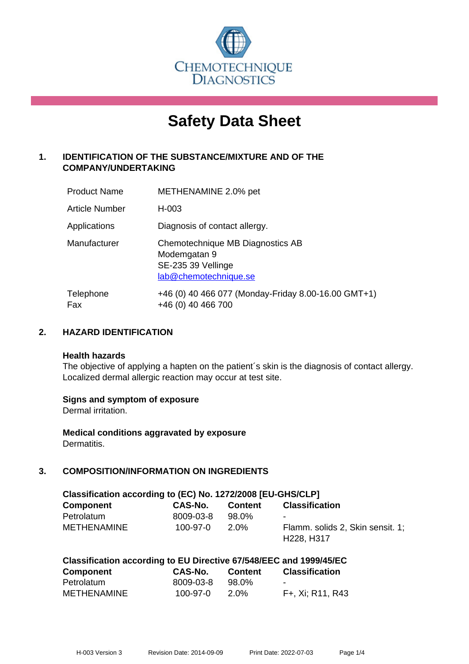

# **Safety Data Sheet**

# **1. IDENTIFICATION OF THE SUBSTANCE/MIXTURE AND OF THE COMPANY/UNDERTAKING**

| <b>Product Name</b>   | METHENAMINE 2.0% pet                                                                            |
|-----------------------|-------------------------------------------------------------------------------------------------|
| <b>Article Number</b> | H-003                                                                                           |
| Applications          | Diagnosis of contact allergy.                                                                   |
| Manufacturer          | Chemotechnique MB Diagnostics AB<br>Modemgatan 9<br>SE-235 39 Vellinge<br>lab@chemotechnique.se |
| Telephone<br>Fax      | +46 (0) 40 466 077 (Monday-Friday 8.00-16.00 GMT+1)<br>+46 (0) 40 466 700                       |

# **2. HAZARD IDENTIFICATION**

#### **Health hazards**

The objective of applying a hapten on the patient's skin is the diagnosis of contact allergy. Localized dermal allergic reaction may occur at test site.

## **Signs and symptom of exposure**

Dermal irritation.

**Medical conditions aggravated by exposure** Dermatitis.

# **3. COMPOSITION/INFORMATION ON INGREDIENTS**

| Classification according to (EC) No. 1272/2008 [EU-GHS/CLP] |                |         |                                                                         |
|-------------------------------------------------------------|----------------|---------|-------------------------------------------------------------------------|
| <b>Component</b>                                            | CAS-No.        | Content | <b>Classification</b>                                                   |
| Petrolatum                                                  | 8009-03-8      | 98.0%   | $\sim$                                                                  |
| <b>METHENAMINE</b>                                          | $100 - 97 - 0$ | 2.0%    | Flamm. solids 2, Skin sensit. 1:<br>H <sub>228</sub> , H <sub>317</sub> |

| Classification according to EU Directive 67/548/EEC and 1999/45/EC |  |
|--------------------------------------------------------------------|--|
|--------------------------------------------------------------------|--|

| Component   | <b>CAS-No.</b> | <b>Content</b> | <b>Classification</b> |
|-------------|----------------|----------------|-----------------------|
| Petrolatum  | 8009-03-8      | 98.0%          | $\sim$                |
| METHENAMINE | 100-97-0       | 2.0%           | F+, Xi; R11, R43      |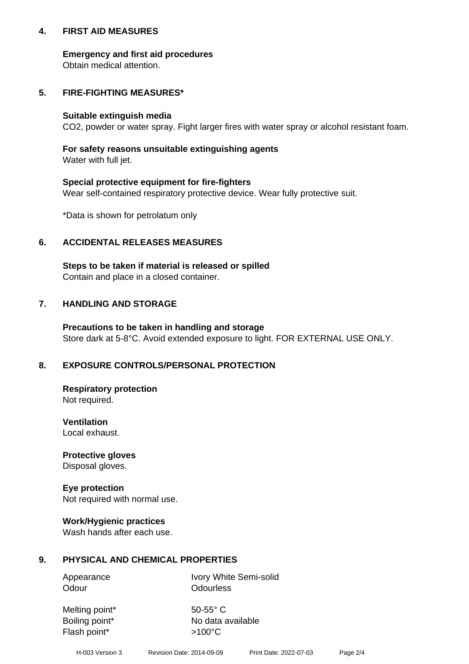## **4. FIRST AID MEASURES**

## **Emergency and first aid procedures**

Obtain medical attention.

# **5. FIRE-FIGHTING MEASURES\***

#### **Suitable extinguish media**

CO2, powder or water spray. Fight larger fires with water spray or alcohol resistant foam.

# **For safety reasons unsuitable extinguishing agents**

Water with full jet.

## **Special protective equipment for fire-fighters**

Wear self-contained respiratory protective device. Wear fully protective suit.

\*Data is shown for petrolatum only

# **6. ACCIDENTAL RELEASES MEASURES**

**Steps to be taken if material is released or spilled** Contain and place in a closed container.

# **7. HANDLING AND STORAGE**

**Precautions to be taken in handling and storage** Store dark at 5-8°C. Avoid extended exposure to light. FOR EXTERNAL USE ONLY.

# **8. EXPOSURE CONTROLS/PERSONAL PROTECTION**

**Respiratory protection** Not required.

**Ventilation** Local exhaust.

**Protective gloves** Disposal gloves.

#### **Eye protection** Not required with normal use.

## **Work/Hygienic practices**

Wash hands after each use.

## **9. PHYSICAL AND CHEMICAL PROPERTIES**

Odour **Odourless** 

Appearance Ivory White Semi-solid

Melting point\* 50-55° C Flash point\*  $>100^{\circ}$ C

Boiling point\* No data available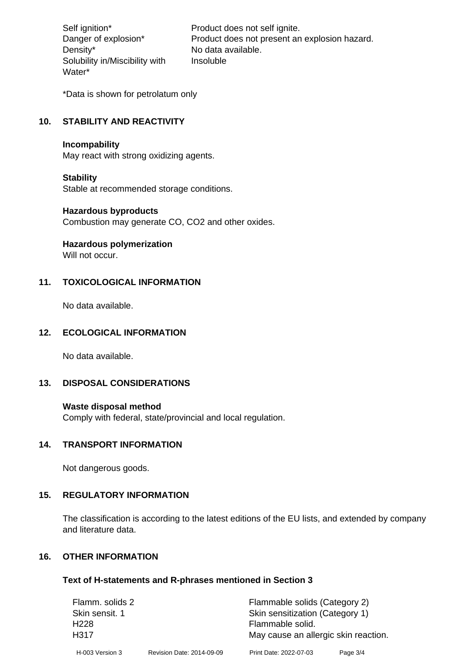Density\* No data available. Solubility in/Miscibility with Water\*

Self ignition\* Product does not self ignite. Danger of explosion\* Product does not present an explosion hazard. Insoluble

\*Data is shown for petrolatum only

# **10. STABILITY AND REACTIVITY**

#### **Incompability**

May react with strong oxidizing agents.

#### **Stability**

Stable at recommended storage conditions.

#### **Hazardous byproducts**

Combustion may generate CO, CO2 and other oxides.

**Hazardous polymerization**

Will not occur.

## **11. TOXICOLOGICAL INFORMATION**

No data available.

#### **12. ECOLOGICAL INFORMATION**

No data available.

## **13. DISPOSAL CONSIDERATIONS**

#### **Waste disposal method**

Comply with federal, state/provincial and local regulation.

#### **14. TRANSPORT INFORMATION**

Not dangerous goods.

## **15. REGULATORY INFORMATION**

The classification is according to the latest editions of the EU lists, and extended by company and literature data.

#### **16. OTHER INFORMATION**

#### **Text of H-statements and R-phrases mentioned in Section 3**

| Flamm. solids 2  |                           | Flammable solids (Category 2)        |            |  |
|------------------|---------------------------|--------------------------------------|------------|--|
| Skin sensit. 1   |                           | Skin sensitization (Category 1)      |            |  |
| H <sub>228</sub> |                           | Flammable solid.                     |            |  |
| H317             |                           | May cause an allergic skin reaction. |            |  |
| H-003 Version 3  | Revision Date: 2014-09-09 | Print Date: 2022-07-03               | Page $3/4$ |  |